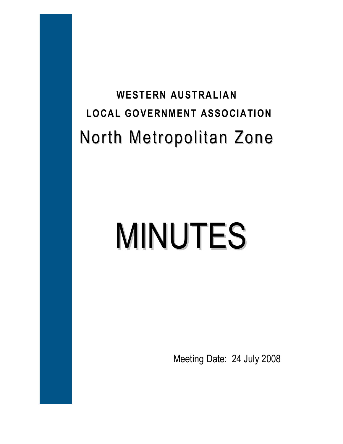## **WESTERN AUSTRALIAN LOCAL GOVERNMENT ASSOCIATION**  North Metropolitan Zone

# MINUTES

Meeting Date: 24 July 2008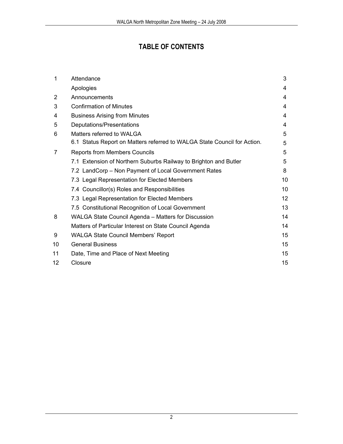### **TABLE OF CONTENTS**

| $\mathbf 1$    | Attendance                                                               | 3  |
|----------------|--------------------------------------------------------------------------|----|
|                | Apologies                                                                | 4  |
| $\overline{2}$ | Announcements                                                            | 4  |
| 3              | <b>Confirmation of Minutes</b>                                           | 4  |
| 4              | <b>Business Arising from Minutes</b>                                     | 4  |
| 5              | Deputations/Presentations                                                | 4  |
| 6              | Matters referred to WALGA                                                | 5  |
|                | 6.1 Status Report on Matters referred to WALGA State Council for Action. | 5  |
| 7              | <b>Reports from Members Councils</b>                                     | 5  |
|                | 7.1 Extension of Northern Suburbs Railway to Brighton and Butler         | 5  |
|                | 7.2 LandCorp - Non Payment of Local Government Rates                     | 8  |
|                | 7.3 Legal Representation for Elected Members                             | 10 |
|                | 7.4 Councillor(s) Roles and Responsibilities                             | 10 |
|                | 7.3 Legal Representation for Elected Members                             | 12 |
|                | 7.5 Constitutional Recognition of Local Government                       | 13 |
| 8              | WALGA State Council Agenda - Matters for Discussion                      | 14 |
|                | Matters of Particular Interest on State Council Agenda                   | 14 |
| 9              | <b>WALGA State Council Members' Report</b>                               | 15 |
| 10             | <b>General Business</b>                                                  | 15 |
| 11             | Date, Time and Place of Next Meeting                                     | 15 |
| 12             | Closure                                                                  | 15 |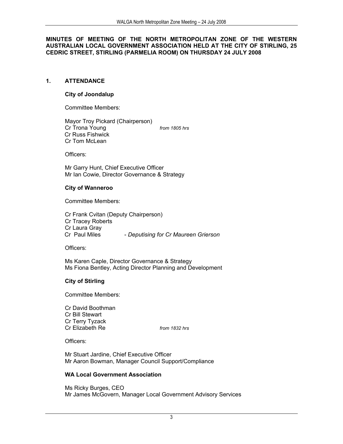#### **MINUTES OF MEETING OF THE NORTH METROPOLITAN ZONE OF THE WESTERN AUSTRALIAN LOCAL GOVERNMENT ASSOCIATION HELD AT THE CITY OF STIRLING, 25 CEDRIC STREET, STIRLING (PARMELIA ROOM) ON THURSDAY 24 JULY 2008**

#### **1. ATTENDANCE**

#### **City of Joondalup**

Committee Members:

Mayor Troy Pickard (Chairperson) Cr Trona Young *from 1805 hrs* Cr Russ Fishwick Cr Tom McLean

Officers:

Mr Garry Hunt, Chief Executive Officer Mr Ian Cowie, Director Governance & Strategy

#### **City of Wanneroo**

Committee Members:

Cr Frank Cvitan (Deputy Chairperson) Cr Tracey Roberts Cr Laura Gray Cr Paul Miles - *Deputising for Cr Maureen Grierson* 

Officers:

Ms Karen Caple, Director Governance & Strategy Ms Fiona Bentley, Acting Director Planning and Development

#### **City of Stirling**

Committee Members:

Cr David Boothman Cr Bill Stewart Cr Terry Tyzack Cr Elizabeth Re *from 1832 hrs*

Officers:

Mr Stuart Jardine, Chief Executive Officer Mr Aaron Bowman, Manager Council Support/Compliance

#### **WA Local Government Association**

Ms Ricky Burges, CEO Mr James McGovern, Manager Local Government Advisory Services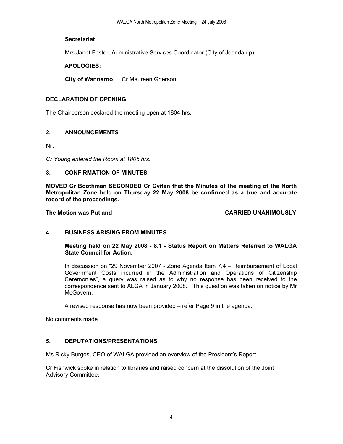#### **Secretariat**

Mrs Janet Foster, Administrative Services Coordinator (City of Joondalup)

#### **APOLOGIES:**

**City of Wanneroo** Cr Maureen Grierson

#### **DECLARATION OF OPENING**

The Chairperson declared the meeting open at 1804 hrs.

#### **2. ANNOUNCEMENTS**

Nil.

*Cr Young entered the Room at 1805 hrs.* 

#### **3. CONFIRMATION OF MINUTES**

**MOVED Cr Boothman SECONDED Cr Cvitan that the Minutes of the meeting of the North Metropolitan Zone held on Thursday 22 May 2008 be confirmed as a true and accurate record of the proceedings.** 

The Motion was Put and **CARRIED UNANIMOUSLY** 

#### **4. BUSINESS ARISING FROM MINUTES**

**Meeting held on 22 May 2008 - 8.1 - Status Report on Matters Referred to WALGA State Council for Action.** 

In discussion on "29 November 2007 - Zone Agenda Item 7.4 – Reimbursement of Local Government Costs incurred in the Administration and Operations of Citizenship Ceremonies", a query was raised as to why no response has been received to the correspondence sent to ALGA in January 2008. This question was taken on notice by Mr McGovern.

A revised response has now been provided – refer Page 9 in the agenda.

No comments made.

#### **5. DEPUTATIONS/PRESENTATIONS**

Ms Ricky Burges, CEO of WALGA provided an overview of the President's Report.

Cr Fishwick spoke in relation to libraries and raised concern at the dissolution of the Joint Advisory Committee.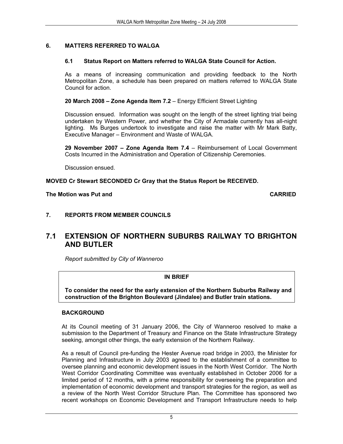#### **6. MATTERS REFERRED TO WALGA**

#### **6.1 Status Report on Matters referred to WALGA State Council for Action.**

As a means of increasing communication and providing feedback to the North Metropolitan Zone, a schedule has been prepared on matters referred to WALGA State Council for action.

**20 March 2008 – Zone Agenda Item 7.2** – Energy Efficient Street Lighting

Discussion ensued. Information was sought on the length of the street lighting trial being undertaken by Western Power, and whether the City of Armadale currently has all-night lighting. Ms Burges undertook to investigate and raise the matter with Mr Mark Batty, Executive Manager – Environment and Waste of WALGA.

**29 November 2007 – Zone Agenda Item 7.4** – Reimbursement of Local Government Costs Incurred in the Administration and Operation of Citizenship Ceremonies.

Discussion ensued.

#### **MOVED Cr Stewart SECONDED Cr Gray that the Status Report be RECEIVED.**

#### **The Motion was Put and CARRIED**

#### **7. REPORTS FROM MEMBER COUNCILS**

#### **7.1 EXTENSION OF NORTHERN SUBURBS RAILWAY TO BRIGHTON AND BUTLER**

*Report submitted by City of Wanneroo* 

#### **IN BRIEF**

 **To consider the need for the early extension of the Northern Suburbs Railway and construction of the Brighton Boulevard (Jindalee) and Butler train stations.**

#### **BACKGROUND**

At its Council meeting of 31 January 2006, the City of Wanneroo resolved to make a submission to the Department of Treasury and Finance on the State Infrastructure Strategy seeking, amongst other things, the early extension of the Northern Railway.

As a result of Council pre-funding the Hester Avenue road bridge in 2003, the Minister for Planning and Infrastructure in July 2003 agreed to the establishment of a committee to oversee planning and economic development issues in the North West Corridor. The North West Corridor Coordinating Committee was eventually established in October 2006 for a limited period of 12 months, with a prime responsibility for overseeing the preparation and implementation of economic development and transport strategies for the region, as well as a review of the North West Corridor Structure Plan. The Committee has sponsored two recent workshops on Economic Development and Transport Infrastructure needs to help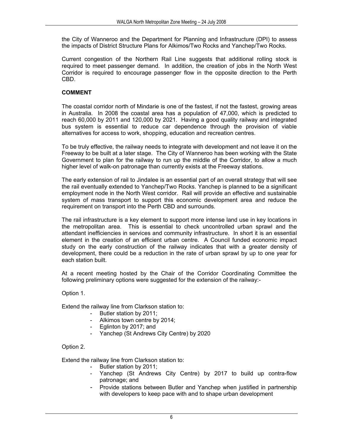the City of Wanneroo and the Department for Planning and Infrastructure (DPI) to assess the impacts of District Structure Plans for Alkimos/Two Rocks and Yanchep/Two Rocks.

Current congestion of the Northern Rail Line suggests that additional rolling stock is required to meet passenger demand. In addition, the creation of jobs in the North West Corridor is required to encourage passenger flow in the opposite direction to the Perth CBD.

#### **COMMENT**

The coastal corridor north of Mindarie is one of the fastest, if not the fastest, growing areas in Australia. In 2008 the coastal area has a population of 47,000, which is predicted to reach 60,000 by 2011 and 120,000 by 2021. Having a good quality railway and integrated bus system is essential to reduce car dependence through the provision of viable alternatives for access to work, shopping, education and recreation centres.

To be truly effective, the railway needs to integrate with development and not leave it on the Freeway to be built at a later stage. The City of Wanneroo has been working with the State Government to plan for the railway to run up the middle of the Corridor, to allow a much higher level of walk-on patronage than currently exists at the Freeway stations.

The early extension of rail to Jindalee is an essential part of an overall strategy that will see the rail eventually extended to Yanchep/Two Rocks. Yanchep is planned to be a significant employment node in the North West corridor. Rail will provide an effective and sustainable system of mass transport to support this economic development area and reduce the requirement on transport into the Perth CBD and surrounds.

The rail infrastructure is a key element to support more intense land use in key locations in the metropolitan area. This is essential to check uncontrolled urban sprawl and the attendant inefficiencies in services and community infrastructure. In short it is an essential element in the creation of an efficient urban centre. A Council funded economic impact study on the early construction of the railway indicates that with a greater density of development, there could be a reduction in the rate of urban sprawl by up to one year for each station built.

At a recent meeting hosted by the Chair of the Corridor Coordinating Committee the following preliminary options were suggested for the extension of the railway:-

Option 1.

Extend the railway line from Clarkson station to:

- Butler station by 2011;
- Alkimos town centre by 2014;
- Eglinton by 2017; and
- Yanchep (St Andrews City Centre) by 2020

Option 2.

Extend the railway line from Clarkson station to:

- Butler station by 2011;
- Yanchep (St Andrews City Centre) by 2017 to build up contra-flow patronage; and
- Provide stations between Butler and Yanchep when justified in partnership with developers to keep pace with and to shape urban development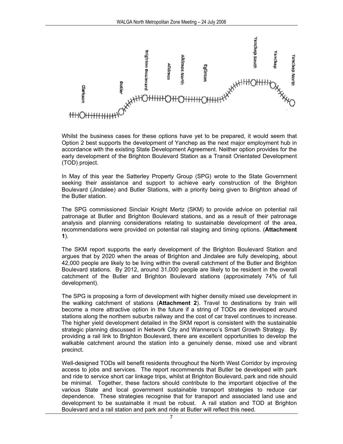

Whilst the business cases for these options have yet to be prepared, it would seem that Option 2 best supports the development of Yanchep as the next major employment hub in accordance with the existing State Development Agreement. Neither option provides for the early development of the Brighton Boulevard Station as a Transit Orientated Development (TOD) project.

In May of this year the Satterley Property Group (SPG) wrote to the State Government seeking their assistance and support to achieve early construction of the Brighton Boulevard (Jindalee) and Butler Stations, with a priority being given to Brighton ahead of the Butler station.

The SPG commissioned Sinclair Knight Mertz (SKM) to provide advice on potential rail patronage at Butler and Brighton Boulevard stations, and as a result of their patronage analysis and planning considerations relating to sustainable development of the area, recommendations were provided on potential rail staging and timing options. (**Attachment 1**).

The SKM report supports the early development of the Brighton Boulevard Station and argues that by 2020 when the areas of Brighton and Jindalee are fully developing, about 42,000 people are likely to be living within the overall catchment of the Butler and Brighton Boulevard stations. By 2012, around 31,000 people are likely to be resident in the overall catchment of the Butler and Brighton Boulevard stations (approximately 74% of full development).

The SPG is proposing a form of development with higher density mixed use development in the walking catchment of stations (**Attachment 2**). Travel to destinations by train will become a more attractive option in the future if a string of TODs are developed around stations along the northern suburbs railway and the cost of car travel continues to increase. The higher yield development detailed in the SKM report is consistent with the sustainable strategic planning discussed in Network City and Wanneroo's Smart Growth Strategy. By providing a rail link to Brighton Boulevard, there are excellent opportunities to develop the walkable catchment around the station into a genuinely dense, mixed use and vibrant precinct.

Well-designed TODs will benefit residents throughout the North West Corridor by improving access to jobs and services. The report recommends that Butler be developed with park and ride to service short car linkage trips, whilst at Brighton Boulevard, park and ride should be minimal. Together, these factors should contribute to the important objective of the various State and local government sustainable transport strategies to reduce car dependence. These strategies recognise that for transport and associated land use and development to be sustainable it must be robust. A rail station and TOD at Brighton Boulevard and a rail station and park and ride at Butler will reflect this need.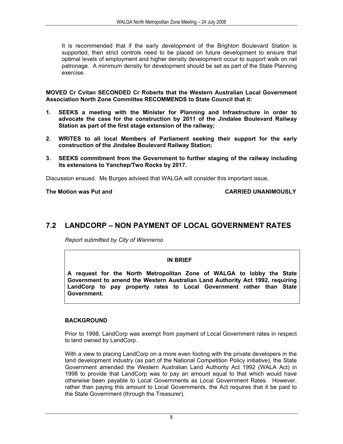It is recommended that if the early development of the Brighton Boulevard Station is supported, then strict controls need to be placed on future development to ensure that optimal levels of employment and higher density development occur to support walk on rail patronage. A minimum density for development should be set as part of the State Planning exercise.

**MOVED Cr Cvitan SECONDED Cr Roberts that the Western Australian Local Government Association North Zone Committee RECOMMENDS to State Council that it:** 

- **1. SEEKS a meeting with the Minister for Planning and Infrastructure in order to advocate the case for the construction by 2011 of the Jindalee Boulevard Railway Station as part of the first stage extension of the railway;**
- **2. WRITES to all local Members of Parliament seeking their support for the early construction of the Jindalee Boulevard Railway Station;**
- **3. SEEKS commitment from the Government to further staging of the railway including its extensions to Yanchep/Two Rocks by 2017.**

Discussion ensued. Ms Burges advised that WALGA will consider this important issue.

The Motion was Put and **CARRIED UNANIMOUSLY** 

#### **7.2 LANDCORP – NON PAYMENT OF LOCAL GOVERNMENT RATES**

*Report submitted by City of Wanneroo* 

#### **IN BRIEF**

**A request for the North Metropolitan Zone of WALGA to lobby the State Government to amend the Western Australian Land Authority Act 1992, requiring LandCorp to pay property rates to Local Government rather than State Government.** 

#### **BACKGROUND**

Prior to 1998, LandCorp was exempt from payment of Local Government rates in respect to land owned by LandCorp.

With a view to placing LandCorp on a more even footing with the private developers in the land development industry (as part of the National Competition Policy initiative), the State Government amended the Western Australian Land Authority Act 1992 (WALA Act) in 1998 to provide that LandCorp was to pay an amount equal to that which would have otherwise been payable to Local Governments as Local Government Rates. However, rather than paying this amount to Local Governments, the Act requires that it be paid to the State Government (through the Treasurer).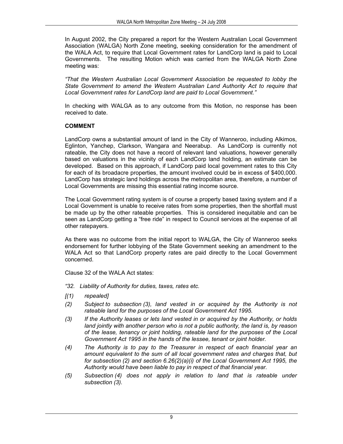In August 2002, the City prepared a report for the Western Australian Local Government Association (WALGA) North Zone meeting, seeking consideration for the amendment of the WALA Act, to require that Local Government rates for LandCorp land is paid to Local Governments. The resulting Motion which was carried from the WALGA North Zone meeting was:

*"That the Western Australian Local Government Association be requested to lobby the State Government to amend the Western Australian Land Authority Act to require that Local Government rates for LandCorp land are paid to Local Government."* 

In checking with WALGA as to any outcome from this Motion, no response has been received to date.

#### **COMMENT**

LandCorp owns a substantial amount of land in the City of Wanneroo, including Alkimos, Eglinton, Yanchep, Clarkson, Wangara and Neerabup. As LandCorp is currently not rateable, the City does not have a record of relevant land valuations, however generally based on valuations in the vicinity of each LandCorp land holding, an estimate can be developed. Based on this approach, if LandCorp paid local government rates to this City for each of its broadacre properties, the amount involved could be in excess of \$400,000. LandCorp has strategic land holdings across the metropolitan area, therefore, a number of Local Governments are missing this essential rating income source.

The Local Government rating system is of course a property based taxing system and if a Local Government is unable to receive rates from some properties, then the shortfall must be made up by the other rateable properties. This is considered inequitable and can be seen as LandCorp getting a "free ride" in respect to Council services at the expense of all other ratepayers.

As there was no outcome from the initial report to WALGA, the City of Wanneroo seeks endorsement for further lobbying of the State Government seeking an amendment to the WALA Act so that LandCorp property rates are paid directly to the Local Government concerned.

Clause 32 of the WALA Act states:

- *"32. Liability of Authority for duties, taxes, rates etc.*
- *[(1) repealed]*
- *(2) Subject to subsection (3), land vested in or acquired by the Authority is not rateable land for the purposes of the Local Government Act 1995.*
- *(3) If the Authority leases or lets land vested in or acquired by the Authority, or holds land jointly with another person who is not a public authority, the land is, by reason of the lease, tenancy or joint holding, rateable land for the purposes of the Local Government Act 1995 in the hands of the lessee, tenant or joint holder.*
- *(4) The Authority is to pay to the Treasurer in respect of each financial year an amount equivalent to the sum of all local government rates and charges that, but for subsection (2) and section 6.26(2)(a)(i) of the Local Government Act 1995, the Authority would have been liable to pay in respect of that financial year.*
- *(5) Subsection (4) does not apply in relation to land that is rateable under subsection (3).*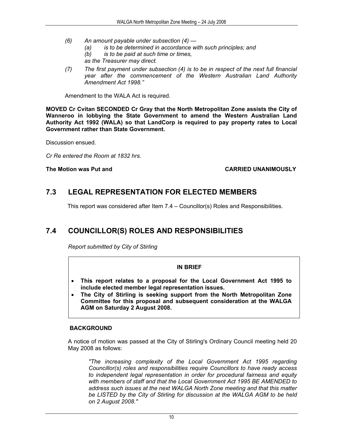- *(6) An amount payable under subsection (4)* 
	- *(a) is to be determined in accordance with such principles; and*
	- *(b) is to be paid at such time or times,*
	- *as the Treasurer may direct.*
- *(7) The first payment under subsection (4) is to be in respect of the next full financial year after the commencement of the Western Australian Land Authority Amendment Act 1998."*

Amendment to the WALA Act is required.

**MOVED Cr Cvitan SECONDED Cr Gray that the North Metropolitan Zone assists the City of Wanneroo in lobbying the State Government to amend the Western Australian Land Authority Act 1992 (WALA) so that LandCorp is required to pay property rates to Local Government rather than State Government.** 

Discussion ensued.

*Cr Re entered the Room at 1832 hrs.* 

#### **The Motion was Put and CARRIED UNANIMOUSLY**

#### **7.3 LEGAL REPRESENTATION FOR ELECTED MEMBERS**

This report was considered after Item 7.4 – Councillor(s) Roles and Responsibilities.

#### **7.4 COUNCILLOR(S) ROLES AND RESPONSIBILITIES**

*Report submitted by City of Stirling* 

#### **IN BRIEF**

- **This report relates to a proposal for the Local Government Act 1995 to include elected member legal representation issues.**
- **The City of Stirling is seeking support from the North Metropolitan Zone Committee for this proposal and subsequent consideration at the WALGA AGM on Saturday 2 August 2008.**

#### **BACKGROUND**

A notice of motion was passed at the City of Stirling's Ordinary Council meeting held 20 May 2008 as follows:

*"The increasing complexity of the Local Government Act 1995 regarding Councillor(s) roles and responsibilities require Councillors to have ready access to independent legal representation in order for procedural fairness and equity with members of staff and that the Local Government Act 1995 BE AMENDED to address such issues at the next WALGA North Zone meeting and that this matter be LISTED by the City of Stirling for discussion at the WALGA AGM to be held on 2 August 2008."*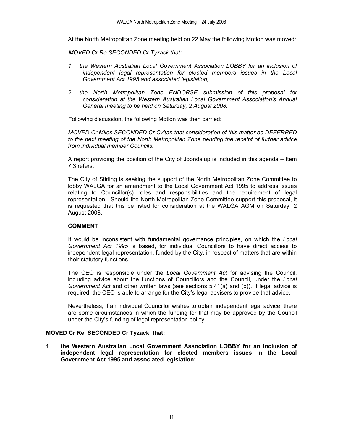At the North Metropolitan Zone meeting held on 22 May the following Motion was moved:

*MOVED Cr Re SECONDED Cr Tyzack that:* 

- *1 the Western Australian Local Government Association LOBBY for an inclusion of independent legal representation for elected members issues in the Local Government Act 1995 and associated legislation;*
- *2 the North Metropolitan Zone ENDORSE submission of this proposal for consideration at the Western Australian Local Government Association's Annual General meeting to be held on Saturday, 2 August 2008.*

Following discussion, the following Motion was then carried:

*MOVED Cr Miles SECONDED Cr Cvitan that consideration of this matter be DEFERRED to the next meeting of the North Metropolitan Zone pending the receipt of further advice from individual member Councils.* 

A report providing the position of the City of Joondalup is included in this agenda – Item 7.3 refers.

The City of Stirling is seeking the support of the North Metropolitan Zone Committee to lobby WALGA for an amendment to the Local Government Act 1995 to address issues relating to Councillor(s) roles and responsibilities and the requirement of legal representation. Should the North Metropolitan Zone Committee support this proposal, it is requested that this be listed for consideration at the WALGA AGM on Saturday, 2 August 2008.

#### **COMMENT**

It would be inconsistent with fundamental governance principles, on which the *Local Government Act 1995* is based, for individual Councillors to have direct access to independent legal representation, funded by the City, in respect of matters that are within their statutory functions.

The CEO is responsible under the *Local Government Act* for advising the Council, including advice about the functions of Councillors and the Council, under the *Local Government Act* and other written laws (see sections 5.41(a) and (b)). If legal advice is required, the CEO is able to arrange for the City's legal advisers to provide that advice.

Nevertheless, if an individual Councillor wishes to obtain independent legal advice, there are some circumstances in which the funding for that may be approved by the Council under the City's funding of legal representation policy.

#### **MOVED Cr Re SECONDED Cr Tyzack that:**

**1 the Western Australian Local Government Association LOBBY for an inclusion of independent legal representation for elected members issues in the Local Government Act 1995 and associated legislation;**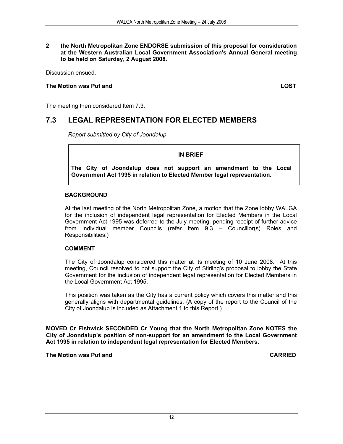#### **2 the North Metropolitan Zone ENDORSE submission of this proposal for consideration at the Western Australian Local Government Association's Annual General meeting to be held on Saturday, 2 August 2008.**

Discussion ensued.

#### **The Motion was Put and LOST**

The meeting then considered Item 7.3.

#### **7.3 LEGAL REPRESENTATION FOR ELECTED MEMBERS**

*Report submitted by City of Joondalup* 

**IN BRIEF** 

**The City of Joondalup does not support an amendment to the Local Government Act 1995 in relation to Elected Member legal representation.**

#### **BACKGROUND**

At the last meeting of the North Metropolitan Zone, a motion that the Zone lobby WALGA for the inclusion of independent legal representation for Elected Members in the Local Government Act 1995 was deferred to the July meeting, pending receipt of further advice from individual member Councils (refer Item 9.3 – Councillor(s) Roles and Responsibilities.)

#### **COMMENT**

The City of Joondalup considered this matter at its meeting of 10 June 2008. At this meeting, Council resolved to not support the City of Stirling's proposal to lobby the State Government for the inclusion of independent legal representation for Elected Members in the Local Government Act 1995.

This position was taken as the City has a current policy which covers this matter and this generally aligns with departmental guidelines. (A copy of the report to the Council of the City of Joondalup is included as Attachment 1 to this Report.)

**MOVED Cr Fishwick SECONDED Cr Young that the North Metropolitan Zone NOTES the City of Joondalup's position of non-support for an amendment to the Local Government Act 1995 in relation to independent legal representation for Elected Members.** 

**The Motion was Put and CARRIED**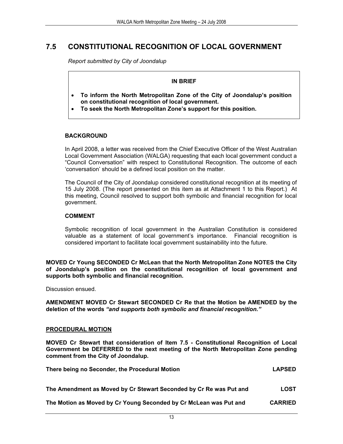#### **7.5 CONSTITUTIONAL RECOGNITION OF LOCAL GOVERNMENT**

*Report submitted by City of Joondalup* 

#### **IN BRIEF**

- **To inform the North Metropolitan Zone of the City of Joondalup's position on constitutional recognition of local government.**
- **To seek the North Metropolitan Zone's support for this position.**

#### **BACKGROUND**

In April 2008, a letter was received from the Chief Executive Officer of the West Australian Local Government Association (WALGA) requesting that each local government conduct a "Council Conversation" with respect to Constitutional Recognition. The outcome of each 'conversation' should be a defined local position on the matter.

The Council of the City of Joondalup considered constitutional recognition at its meeting of 15 July 2008. (The report presented on this item as at Attachment 1 to this Report.) At this meeting, Council resolved to support both symbolic and financial recognition for local government.

#### **COMMENT**

Symbolic recognition of local government in the Australian Constitution is considered valuable as a statement of local government's importance. Financial recognition is considered important to facilitate local government sustainability into the future.

**MOVED Cr Young SECONDED Cr McLean that the North Metropolitan Zone NOTES the City of Joondalup's position on the constitutional recognition of local government and supports both symbolic and financial recognition.** 

Discussion ensued.

**AMENDMENT MOVED Cr Stewart SECONDED Cr Re that the Motion be AMENDED by the deletion of the words** *"and supports both symbolic and financial recognition."*

#### **PROCEDURAL MOTION**

**MOVED Cr Stewart that consideration of Item 7.5 - Constitutional Recognition of Local Government be DEFERRED to the next meeting of the North Metropolitan Zone pending comment from the City of Joondalup.** 

| There being no Seconder, the Procedural Motion                     |             |
|--------------------------------------------------------------------|-------------|
|                                                                    |             |
| The Amendment as Moved by Cr Stewart Seconded by Cr Re was Put and | <b>LOST</b> |

**The Motion as Moved by Cr Young Seconded by Cr McLean was Put and CARRIED**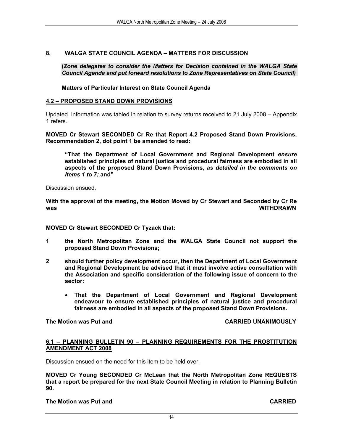#### **8. WALGA STATE COUNCIL AGENDA – MATTERS FOR DISCUSSION**

**(***Zone delegates to consider the Matters for Decision contained in the WALGA State Council Agenda and put forward resolutions to Zone Representatives on State Council)*

**Matters of Particular Interest on State Council Agenda** 

#### **4.2 – PROPOSED STAND DOWN PROVISIONS**

Updated information was tabled in relation to survey returns received to 21 July 2008 – Appendix 1 refers.

**MOVED Cr Stewart SECONDED Cr Re that Report 4.2 Proposed Stand Down Provisions, Recommendation 2, dot point 1 be amended to read:** 

**"That the Department of Local Government and Regional Development** *ensure* **established principles of natural justice and procedural fairness are embodied in all aspects of the proposed Stand Down Provisions,** *as detailed in the comments on Items 1 to 7;* **and"** 

Discussion ensued.

**With the approval of the meeting, the Motion Moved by Cr Stewart and Seconded by Cr Re was WITHDRAWN** 

**MOVED Cr Stewart SECONDED Cr Tyzack that:** 

- **1 the North Metropolitan Zone and the WALGA State Council not support the proposed Stand Down Provisions;**
- **2 should further policy development occur, then the Department of Local Government and Regional Development be advised that it must involve active consultation with the Association and specific consideration of the following issue of concern to the sector:** 
	- **That the Department of Local Government and Regional Development endeavour to ensure established principles of natural justice and procedural fairness are embodied in all aspects of the proposed Stand Down Provisions.**

**The Motion was Put and CARRIED UNANIMOUSLY** 

#### **6.1 – PLANNING BULLETIN 90 – PLANNING REQUIREMENTS FOR THE PROSTITUTION AMENDMENT ACT 2008**

Discussion ensued on the need for this item to be held over.

**MOVED Cr Young SECONDED Cr McLean that the North Metropolitan Zone REQUESTS that a report be prepared for the next State Council Meeting in relation to Planning Bulletin 90.** 

**The Motion was Put and CARRIED**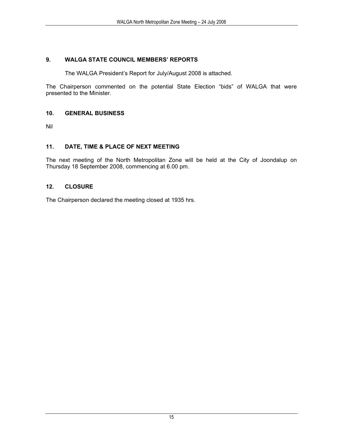#### **9. WALGA STATE COUNCIL MEMBERS' REPORTS**

The WALGA President's Report for July/August 2008 is attached.

The Chairperson commented on the potential State Election "bids" of WALGA that were presented to the Minister.

#### **10. GENERAL BUSINESS**

Nil

#### **11. DATE, TIME & PLACE OF NEXT MEETING**

The next meeting of the North Metropolitan Zone will be held at the City of Joondalup on Thursday 18 September 2008, commencing at 6.00 pm.

#### **12. CLOSURE**

The Chairperson declared the meeting closed at 1935 hrs.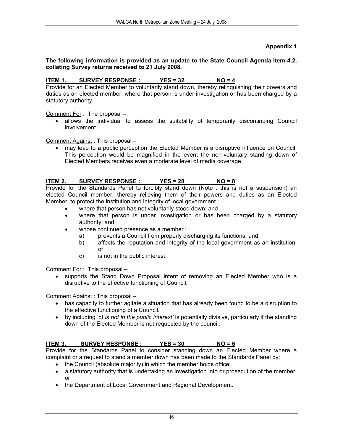#### **Appendix 1**

#### **The following information is provided as an update to the State Council Agenda Item 4.2, collating Survey returns received to 21 July 2008.**

#### **ITEM 1. SURVEY RESPONSE : YES = 32 NO = 4**

Provide for an Elected Member to voluntarily stand down, thereby relinquishing their powers and duties as an elected member, where that person is under investigation or has been charged by a statutory authority.

Comment For : The proposal –

• allows the individual to assess the suitability of temporarily discontinuing Council involvement.

Comment Against : This proposal –

• may lead to a public perception the Elected Member is a disruptive influence on Council. This perception would be magnified in the event the non-voluntary standing down of Elected Members receives even a moderate level of media coverage.

#### **ITEM 2. SURVEY RESPONSE : YES = 28 NO = 8**

Provide for the Standards Panel to forcibly stand down (Note : this is not a suspension) an elected Council member, thereby relieving them of their powers and duties as an Elected Member, to protect the institution and integrity of local government :

- where that person has not voluntarily stood down; and
- where that person is under investigation or has been charged by a statutory authority; and
- whose continued presence as a member :
	- a) prevents a Council from properly discharging its functions; and
	- b) affects the reputation and integrity of the local government as an institution; or
	- c) is not in the public interest.

Comment For : This proposal –

• supports the Stand Down Proposal intent of removing an Elected Member who is a disruptive to the effective functioning of Council.

Comment Against : This proposal –

- has capacity to further agitate a situation that has already been found to be a disruption to the effective functioning of a Council.
- by including 'c*) is not in the public interest'* is potentially divisive, particularly if the standing down of the Elected Member is not requested by the council.

#### **ITEM 3. SURVEY RESPONSE : YES = 30 NO = 6**

Provide for the Standards Panel to consider standing down an Elected Member where a complaint or a request to stand a member down has been made to the Standards Panel by:

- the Council (absolute majority) in which the member holds office;
- a statutory authority that is undertaking an investigation into or prosecution of the member; or
- the Department of Local Government and Regional Development.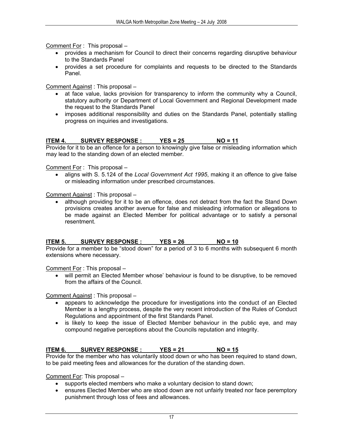Comment For : This proposal -

- provides a mechanism for Council to direct their concerns regarding disruptive behaviour to the Standards Panel
- provides a set procedure for complaints and requests to be directed to the Standards Panel.

Comment Against : This proposal –

- at face value, lacks provision for transparency to inform the community why a Council, statutory authority or Department of Local Government and Regional Development made the request to the Standards Panel
- imposes additional responsibility and duties on the Standards Panel, potentially stalling progress on inquiries and investigations.

#### **ITEM 4. SURVEY RESPONSE : YES = 25 NO = 11**

Provide for it to be an offence for a person to knowingly give false or misleading information which may lead to the standing down of an elected member.

Comment For : This proposal –

• aligns with S. 5.124 of the *Local Government Act 1995*, making it an offence to give false or misleading information under prescribed circumstances.

Comment Against : This proposal –

• although providing for it to be an offence, does not detract from the fact the Stand Down provisions creates another avenue for false and misleading information or allegations to be made against an Elected Member for political advantage or to satisfy a personal resentment.

#### **ITEM 5. SURVEY RESPONSE : YES = 26 NO = 10**

Provide for a member to be "stood down" for a period of 3 to 6 months with subsequent 6 month extensions where necessary.

Comment For : This proposal –

• will permit an Elected Member whose' behaviour is found to be disruptive, to be removed from the affairs of the Council.

Comment Against : This proposal –

- appears to acknowledge the procedure for investigations into the conduct of an Elected Member is a lengthy process, despite the very recent introduction of the Rules of Conduct Regulations and appointment of the first Standards Panel.
- is likely to keep the issue of Elected Member behaviour in the public eye, and may compound negative perceptions about the Councils reputation and integrity.

#### ITEM 6. SURVEY RESPONSE : YES = 21 NO = 15

Provide for the member who has voluntarily stood down or who has been required to stand down, to be paid meeting fees and allowances for the duration of the standing down.

Comment For: This proposal –

- supports elected members who make a voluntary decision to stand down;
- ensures Elected Member who are stood down are not unfairly treated nor face peremptory punishment through loss of fees and allowances.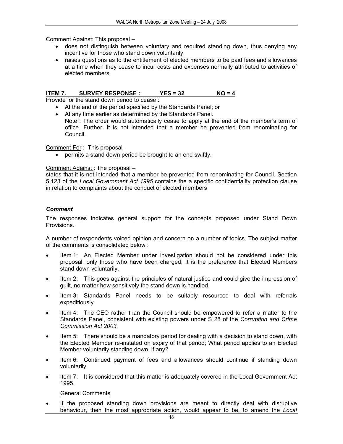Comment Against: This proposal –

- does not distinguish between voluntary and required standing down, thus denying any incentive for those who stand down voluntarily;
- raises questions as to the entitlement of elected members to be paid fees and allowances at a time when they cease to incur costs and expenses normally attributed to activities of elected members

#### ITEM 7. SURVEY RESPONSE : YES = 32 NO = 4

Provide for the stand down period to cease :

- At the end of the period specified by the Standards Panel; or
- At any time earlier as determined by the Standards Panel. Note : The order would automatically cease to apply at the end of the member's term of office. Further, it is not intended that a member be prevented from renominating for Council.

Comment For : This proposal –

• permits a stand down period be brought to an end swiftly.

#### Comment Against : The proposal –

states that it is not intended that a member be prevented from renominating for Council. Section 5.123 of the *Local Government Act 1995* contains the a specific confidentiality protection clause in relation to complaints about the conduct of elected members

#### *Comment*

The responses indicates general support for the concepts proposed under Stand Down Provisions.

A number of respondents voiced opinion and concern on a number of topics. The subject matter of the comments is consolidated below :

- Item 1: An Elected Member under investigation should not be considered under this proposal, only those who have been charged; It is the preference that Elected Members stand down voluntarily.
- Item 2: This goes against the principles of natural justice and could give the impression of guilt, no matter how sensitively the stand down is handled.
- Item 3: Standards Panel needs to be suitably resourced to deal with referrals expeditiously.
- Item 4: The CEO rather than the Council should be empowered to refer a matter to the Standards Panel, consistent with existing powers under S 28 of the *Corruption and Crime Commission Act 2003.*
- Item 5: There should be a mandatory period for dealing with a decision to stand down, with the Elected Member re-instated on expiry of that period; What period applies to an Elected Member voluntarily standing down, if any?
- Item 6: Continued payment of fees and allowances should continue if standing down voluntarily.
- Item 7: It is considered that this matter is adequately covered in the Local Government Act 1995.

General Comments

If the proposed standing down provisions are meant to directly deal with disruptive behaviour, then the most appropriate action, would appear to be, to amend the *Local*